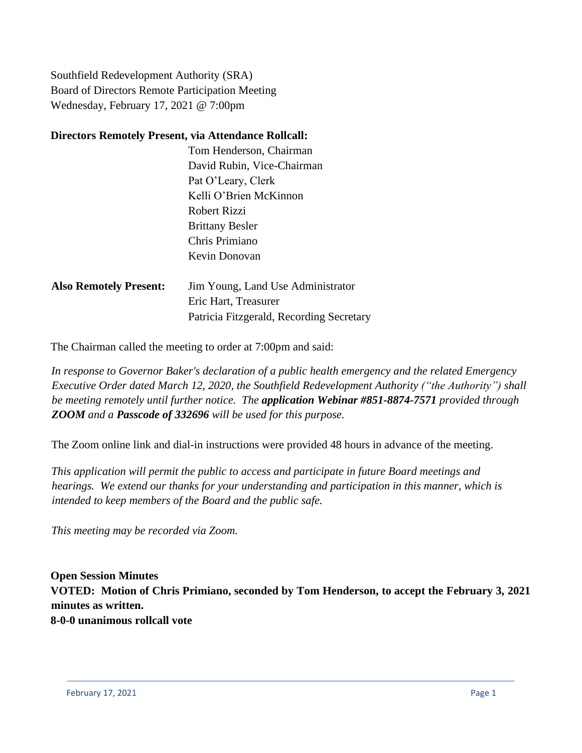Southfield Redevelopment Authority (SRA) Board of Directors Remote Participation Meeting Wednesday, February 17, 2021 @ 7:00pm

### **Directors Remotely Present, via Attendance Rollcall:**

|         | Tom Henderson, Chairman        |
|---------|--------------------------------|
|         | David Rubin, Vice-Chairman     |
|         | Pat O'Leary, Clerk             |
|         | Kelli O'Brien McKinnon         |
|         | Robert Rizzi                   |
|         | <b>Brittany Besler</b>         |
|         | Chris Primiano                 |
|         | Kevin Donovan                  |
|         |                                |
| ·ecent· | Iim Voung I and Hee Administre |

**Also Remotely Present:** Jim Young, Land Use Administrator Eric Hart, Treasurer Patricia Fitzgerald, Recording Secretary

The Chairman called the meeting to order at 7:00pm and said:

*In response to Governor Baker's declaration of a public health emergency and the related Emergency Executive Order dated March 12, 2020, the Southfield Redevelopment Authority ("the Authority") shall be meeting remotely until further notice. The application Webinar #851-8874-7571 provided through ZOOM and a Passcode of 332696 will be used for this purpose.*

The Zoom online link and dial-in instructions were provided 48 hours in advance of the meeting.

*This application will permit the public to access and participate in future Board meetings and hearings. We extend our thanks for your understanding and participation in this manner, which is intended to keep members of the Board and the public safe.*

*This meeting may be recorded via Zoom.*

**Open Session Minutes VOTED: Motion of Chris Primiano, seconded by Tom Henderson, to accept the February 3, 2021 minutes as written. 8-0-0 unanimous rollcall vote**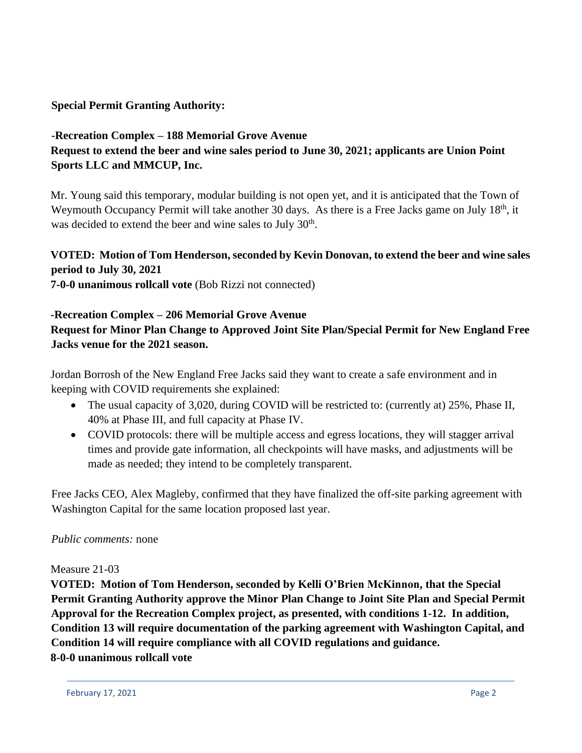## **Special Permit Granting Authority:**

# **-Recreation Complex – 188 Memorial Grove Avenue Request to extend the beer and wine sales period to June 30, 2021; applicants are Union Point Sports LLC and MMCUP, Inc.**

Mr. Young said this temporary, modular building is not open yet, and it is anticipated that the Town of Weymouth Occupancy Permit will take another 30 days. As there is a Free Jacks game on July 18<sup>th</sup>, it was decided to extend the beer and wine sales to July 30<sup>th</sup>.

# **VOTED: Motion of Tom Henderson, seconded by Kevin Donovan, to extend the beer and wine sales period to July 30, 2021**

**7-0-0 unanimous rollcall vote** (Bob Rizzi not connected)

## **-Recreation Complex – 206 Memorial Grove Avenue Request for Minor Plan Change to Approved Joint Site Plan/Special Permit for New England Free Jacks venue for the 2021 season.**

Jordan Borrosh of the New England Free Jacks said they want to create a safe environment and in keeping with COVID requirements she explained:

- The usual capacity of 3,020, during COVID will be restricted to: (currently at) 25%, Phase II, 40% at Phase III, and full capacity at Phase IV.
- COVID protocols: there will be multiple access and egress locations, they will stagger arrival times and provide gate information, all checkpoints will have masks, and adjustments will be made as needed; they intend to be completely transparent.

Free Jacks CEO, Alex Magleby, confirmed that they have finalized the off-site parking agreement with Washington Capital for the same location proposed last year.

## *Public comments:* none

### Measure 21-03

**VOTED: Motion of Tom Henderson, seconded by Kelli O'Brien McKinnon, that the Special Permit Granting Authority approve the Minor Plan Change to Joint Site Plan and Special Permit Approval for the Recreation Complex project, as presented, with conditions 1-12. In addition, Condition 13 will require documentation of the parking agreement with Washington Capital, and Condition 14 will require compliance with all COVID regulations and guidance. 8-0-0 unanimous rollcall vote**